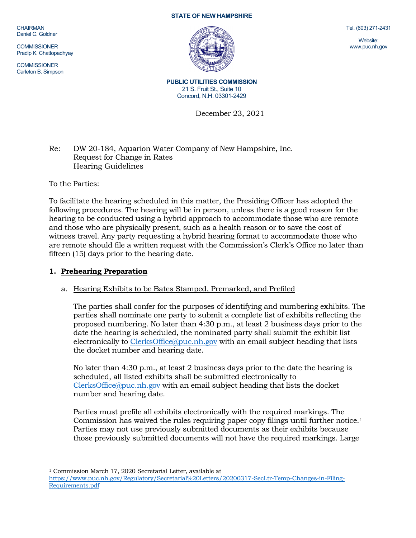CHAIRMAN Daniel C. Goldner

**COMMISSIONER** Pradip K. Chattopadhyay

**COMMISSIONER** Carleton B. Simpson

#### **STATE OF NEW HAMPSHIRE**



Tel. (603) 271-2431

Website: www.puc.nh.gov

**PUBLIC UTILITIES COMMISSION** 21 S. Fruit St., Suite 10 Concord, N.H. 03301-2429

December 23, 2021

## Re: DW 20-184, Aquarion Water Company of New Hampshire, Inc. Request for Change in Rates Hearing Guidelines

To the Parties:

To facilitate the hearing scheduled in this matter, the Presiding Officer has adopted the following procedures. The hearing will be in person, unless there is a good reason for the hearing to be conducted using a hybrid approach to accommodate those who are remote and those who are physically present, such as a health reason or to save the cost of witness travel. Any party requesting a hybrid hearing format to accommodate those who are remote should file a written request with the Commission's Clerk's Office no later than fifteen (15) days prior to the hearing date.

## **1. Prehearing Preparation**

# a. Hearing Exhibits to be Bates Stamped, Premarked, and Prefiled

The parties shall confer for the purposes of identifying and numbering exhibits. The parties shall nominate one party to submit a complete list of exhibits reflecting the proposed numbering. No later than 4:30 p.m., at least 2 business days prior to the date the hearing is scheduled, the nominated party shall submit the exhibit list electronically to [ClerksOffice@puc.nh.gov](mailto:ClerksOffice@puc.nh.gov) with an email subject heading that lists the docket number and hearing date.

No later than 4:30 p.m., at least 2 business days prior to the date the hearing is scheduled, all listed exhibits shall be submitted electronically to [ClerksOffice@puc.nh.gov](mailto:Clerks.Office@puc.nh.gov) with an email subject heading that lists the docket number and hearing date.

Parties must prefile all exhibits electronically with the required markings. The Commission has waived the rules requiring paper copy filings until further notice[.1](#page-0-0) Parties may not use previously submitted documents as their exhibits because those previously submitted documents will not have the required markings. Large

<span id="page-0-0"></span><sup>1</sup> Commission March 17, 2020 Secretarial Letter, available at [https://www.puc.nh.gov/Regulatory/Secretarial%20Letters/20200317-SecLtr-Temp-Changes-in-Filing-](https://www.puc.nh.gov/Regulatory/Secretarial%20Letters/20200317-SecLtr-Temp-Changes-in-Filing-Requirements.pdf)[Requirements.pdf](https://www.puc.nh.gov/Regulatory/Secretarial%20Letters/20200317-SecLtr-Temp-Changes-in-Filing-Requirements.pdf)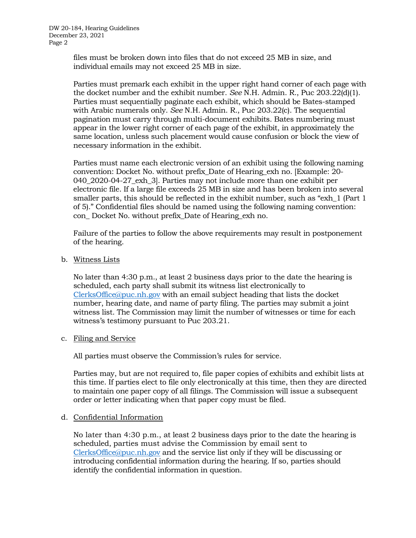files must be broken down into files that do not exceed 25 MB in size, and individual emails may not exceed 25 MB in size.

Parties must premark each exhibit in the upper right hand corner of each page with the docket number and the exhibit number. *See* N.H. Admin. R., Puc 203.22(d)(1). Parties must sequentially paginate each exhibit, which should be Bates-stamped with Arabic numerals only. *See* N.H. Admin. R., Puc 203.22(c). The sequential pagination must carry through multi-document exhibits. Bates numbering must appear in the lower right corner of each page of the exhibit, in approximately the same location, unless such placement would cause confusion or block the view of necessary information in the exhibit.

Parties must name each electronic version of an exhibit using the following naming convention: Docket No. without prefix\_Date of Hearing\_exh no. [Example: 20- 040\_2020-04-27\_exh\_3]. Parties may not include more than one exhibit per electronic file. If a large file exceeds 25 MB in size and has been broken into several smaller parts, this should be reflected in the exhibit number, such as "exh\_1 (Part 1 of 5)." Confidential files should be named using the following naming convention: con\_ Docket No. without prefix\_Date of Hearing\_exh no.

Failure of the parties to follow the above requirements may result in postponement of the hearing.

b. Witness Lists

No later than 4:30 p.m., at least 2 business days prior to the date the hearing is scheduled, each party shall submit its witness list electronically to [ClerksOffice@puc.nh.gov](mailto:Clerks.Office@puc.nh.gov) with an email subject heading that lists the docket number, hearing date, and name of party filing. The parties may submit a joint witness list. The Commission may limit the number of witnesses or time for each witness's testimony pursuant to Puc 203.21.

c. Filing and Service

All parties must observe the Commission's rules for service.

Parties may, but are not required to, file paper copies of exhibits and exhibit lists at this time. If parties elect to file only electronically at this time, then they are directed to maintain one paper copy of all filings. The Commission will issue a subsequent order or letter indicating when that paper copy must be filed.

### d. Confidential Information

No later than 4:30 p.m., at least 2 business days prior to the date the hearing is scheduled, parties must advise the Commission by email sent to [ClerksOffice@puc.nh.gov](mailto:Clerks.Office@puc.nh.gov) and the service list only if they will be discussing or introducing confidential information during the hearing. If so, parties should identify the confidential information in question.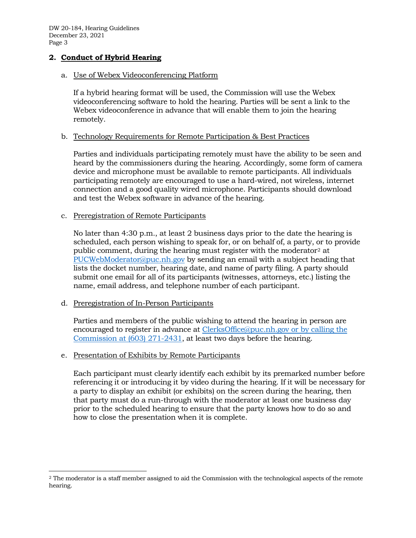DW 20-184, Hearing Guidelines December 23, 2021 Page 3

## **2. Conduct of Hybrid Hearing**

### a. Use of Webex Videoconferencing Platform

If a hybrid hearing format will be used, the Commission will use the Webex videoconferencing software to hold the hearing. Parties will be sent a link to the Webex videoconference in advance that will enable them to join the hearing remotely.

### b. Technology Requirements for Remote Participation & Best Practices

Parties and individuals participating remotely must have the ability to be seen and heard by the commissioners during the hearing. Accordingly, some form of camera device and microphone must be available to remote participants. All individuals participating remotely are encouraged to use a hard-wired, not wireless, internet connection and a good quality wired microphone. Participants should download and test the Webex software in advance of the hearing.

#### c. Preregistration of Remote Participants

No later than 4:30 p.m., at least 2 business days prior to the date the hearing is scheduled, each person wishing to speak for, or on behalf of, a party, or to provide public comment, during the hearing must register with the moderator<sup>[2](#page-2-0)</sup> at [PUCWebModerator@puc.nh.gov](mailto:PUCWebModerator@puc.nh.gov) by sending an email with a subject heading that lists the docket number, hearing date, and name of party filing. A party should submit one email for all of its participants (witnesses, attorneys, etc.) listing the name, email address, and telephone number of each participant.

### d. Preregistration of In-Person Participants

Parties and members of the public wishing to attend the hearing in person are encouraged to register in advance at [ClerksOffice@puc.nh.gov](mailto:Clerks.Office@puc.nh.gov) or by calling the Commission at (603) 271-2431, at least two days before the hearing.

### e. Presentation of Exhibits by Remote Participants

Each participant must clearly identify each exhibit by its premarked number before referencing it or introducing it by video during the hearing. If it will be necessary for a party to display an exhibit (or exhibits) on the screen during the hearing, then that party must do a run-through with the moderator at least one business day prior to the scheduled hearing to ensure that the party knows how to do so and how to close the presentation when it is complete.

<span id="page-2-0"></span><sup>2</sup> The moderator is a staff member assigned to aid the Commission with the technological aspects of the remote hearing.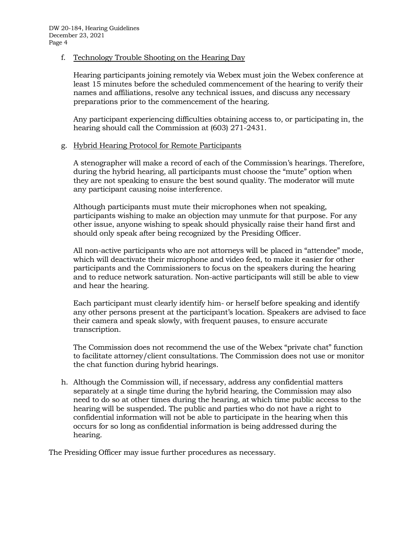### f. Technology Trouble Shooting on the Hearing Day

Hearing participants joining remotely via Webex must join the Webex conference at least 15 minutes before the scheduled commencement of the hearing to verify their names and affiliations, resolve any technical issues, and discuss any necessary preparations prior to the commencement of the hearing.

Any participant experiencing difficulties obtaining access to, or participating in, the hearing should call the Commission at (603) 271-2431.

### g. Hybrid Hearing Protocol for Remote Participants

A stenographer will make a record of each of the Commission's hearings. Therefore, during the hybrid hearing, all participants must choose the "mute" option when they are not speaking to ensure the best sound quality. The moderator will mute any participant causing noise interference.

Although participants must mute their microphones when not speaking, participants wishing to make an objection may unmute for that purpose. For any other issue, anyone wishing to speak should physically raise their hand first and should only speak after being recognized by the Presiding Officer.

All non-active participants who are not attorneys will be placed in "attendee" mode, which will deactivate their microphone and video feed, to make it easier for other participants and the Commissioners to focus on the speakers during the hearing and to reduce network saturation. Non-active participants will still be able to view and hear the hearing.

Each participant must clearly identify him- or herself before speaking and identify any other persons present at the participant's location. Speakers are advised to face their camera and speak slowly, with frequent pauses, to ensure accurate transcription.

The Commission does not recommend the use of the Webex "private chat" function to facilitate attorney/client consultations. The Commission does not use or monitor the chat function during hybrid hearings.

h. Although the Commission will, if necessary, address any confidential matters separately at a single time during the hybrid hearing, the Commission may also need to do so at other times during the hearing, at which time public access to the hearing will be suspended. The public and parties who do not have a right to confidential information will not be able to participate in the hearing when this occurs for so long as confidential information is being addressed during the hearing.

The Presiding Officer may issue further procedures as necessary.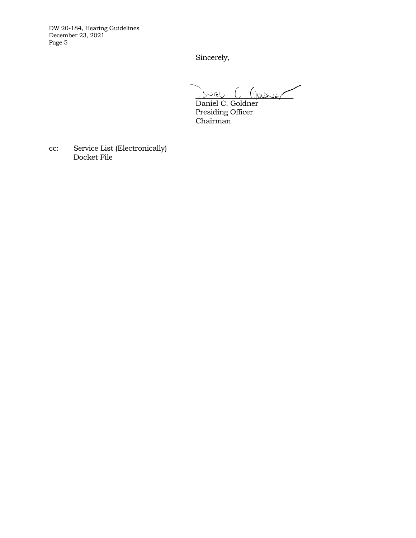DW 20-184, Hearing Guidelines December 23, 2021 Page 5

Sincerely,

\_\_\_\_\_\_\_\_\_\_\_\_\_\_\_\_\_\_\_\_\_\_\_\_\_

Daniel C. Goldner Presiding Officer Chairman

cc: Service List (Electronically) Docket File